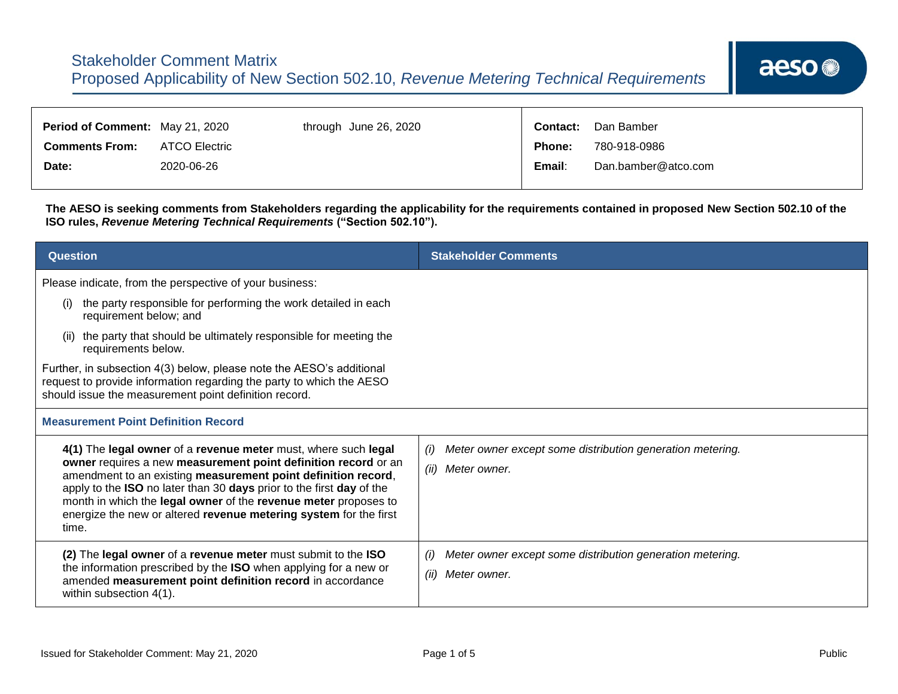| <b>Period of Comment: May 21, 2020</b> |               | through June 26, 2020 | <b>Contact:</b> | Dan Bamber          |
|----------------------------------------|---------------|-----------------------|-----------------|---------------------|
| <b>Comments From:</b>                  | ATCO Electric |                       | Phone:          | 780-918-0986        |
| Date:                                  | 2020-06-26    |                       | Email:          | Dan.bamber@atco.com |

┱

**The AESO is seeking comments from Stakeholders regarding the applicability for the requirements contained in proposed New Section 502.10 of the ISO rules,** *Revenue Metering Technical Requirements* **("Section 502.10").**

| <b>Question</b>                                                                                                                                                                                                                                                                                                                                                                                                                                                       | <b>Stakeholder Comments</b>                                                              |  |  |
|-----------------------------------------------------------------------------------------------------------------------------------------------------------------------------------------------------------------------------------------------------------------------------------------------------------------------------------------------------------------------------------------------------------------------------------------------------------------------|------------------------------------------------------------------------------------------|--|--|
| Please indicate, from the perspective of your business:<br>the party responsible for performing the work detailed in each<br>(i)<br>requirement below; and<br>the party that should be ultimately responsible for meeting the<br>(ii)<br>requirements below.<br>Further, in subsection 4(3) below, please note the AESO's additional<br>request to provide information regarding the party to which the AESO<br>should issue the measurement point definition record. |                                                                                          |  |  |
| <b>Measurement Point Definition Record</b>                                                                                                                                                                                                                                                                                                                                                                                                                            |                                                                                          |  |  |
| 4(1) The legal owner of a revenue meter must, where such legal<br>owner requires a new measurement point definition record or an<br>amendment to an existing measurement point definition record,<br>apply to the ISO no later than 30 days prior to the first day of the<br>month in which the legal owner of the revenue meter proposes to<br>energize the new or altered revenue metering system for the first<br>time.                                            | Meter owner except some distribution generation metering.<br>(i)<br>(ii)<br>Meter owner. |  |  |
| (2) The legal owner of a revenue meter must submit to the ISO<br>the information prescribed by the ISO when applying for a new or<br>amended measurement point definition record in accordance<br>within subsection 4(1).                                                                                                                                                                                                                                             | Meter owner except some distribution generation metering.<br>(i)<br>(ii)<br>Meter owner. |  |  |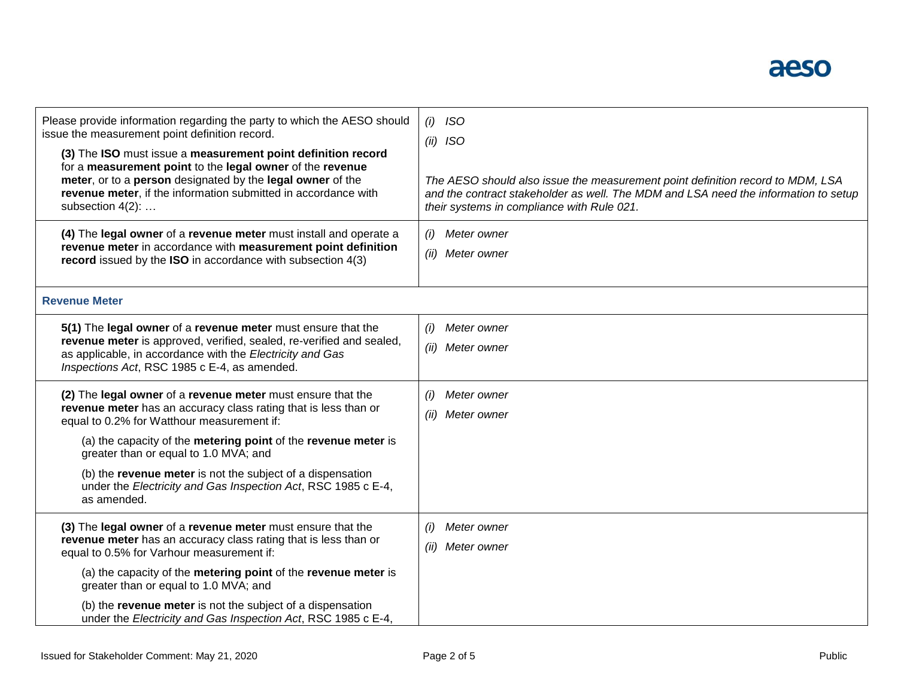

| Please provide information regarding the party to which the AESO should<br>issue the measurement point definition record.<br>(3) The ISO must issue a measurement point definition record<br>for a measurement point to the legal owner of the revenue<br>meter, or to a person designated by the legal owner of the<br>revenue meter, if the information submitted in accordance with<br>subsection 4(2): | <b>ISO</b><br>(i)<br>$(ii)$ ISO<br>The AESO should also issue the measurement point definition record to MDM, LSA<br>and the contract stakeholder as well. The MDM and LSA need the information to setup<br>their systems in compliance with Rule 021. |
|------------------------------------------------------------------------------------------------------------------------------------------------------------------------------------------------------------------------------------------------------------------------------------------------------------------------------------------------------------------------------------------------------------|--------------------------------------------------------------------------------------------------------------------------------------------------------------------------------------------------------------------------------------------------------|
| (4) The legal owner of a revenue meter must install and operate a<br>revenue meter in accordance with measurement point definition<br>record issued by the ISO in accordance with subsection 4(3)                                                                                                                                                                                                          | Meter owner<br>(i)<br>(ii)<br>Meter owner                                                                                                                                                                                                              |
| <b>Revenue Meter</b>                                                                                                                                                                                                                                                                                                                                                                                       |                                                                                                                                                                                                                                                        |
| 5(1) The legal owner of a revenue meter must ensure that the<br>revenue meter is approved, verified, sealed, re-verified and sealed,<br>as applicable, in accordance with the Electricity and Gas<br>Inspections Act, RSC 1985 c E-4, as amended.                                                                                                                                                          | Meter owner<br>(i)<br>(ii)<br>Meter owner                                                                                                                                                                                                              |
| (2) The legal owner of a revenue meter must ensure that the<br>revenue meter has an accuracy class rating that is less than or<br>equal to 0.2% for Watthour measurement if:                                                                                                                                                                                                                               | Meter owner<br>(i)<br>Meter owner<br>(ii)                                                                                                                                                                                                              |
| (a) the capacity of the metering point of the revenue meter is<br>greater than or equal to 1.0 MVA; and                                                                                                                                                                                                                                                                                                    |                                                                                                                                                                                                                                                        |
| (b) the revenue meter is not the subject of a dispensation<br>under the Electricity and Gas Inspection Act, RSC 1985 c E-4,<br>as amended.                                                                                                                                                                                                                                                                 |                                                                                                                                                                                                                                                        |
| (3) The legal owner of a revenue meter must ensure that the<br>revenue meter has an accuracy class rating that is less than or<br>equal to 0.5% for Varhour measurement if:                                                                                                                                                                                                                                | Meter owner<br>(i)<br>(ii)<br>Meter owner                                                                                                                                                                                                              |
| (a) the capacity of the metering point of the revenue meter is<br>greater than or equal to 1.0 MVA; and                                                                                                                                                                                                                                                                                                    |                                                                                                                                                                                                                                                        |
| (b) the revenue meter is not the subject of a dispensation<br>under the Electricity and Gas Inspection Act, RSC 1985 c E-4,                                                                                                                                                                                                                                                                                |                                                                                                                                                                                                                                                        |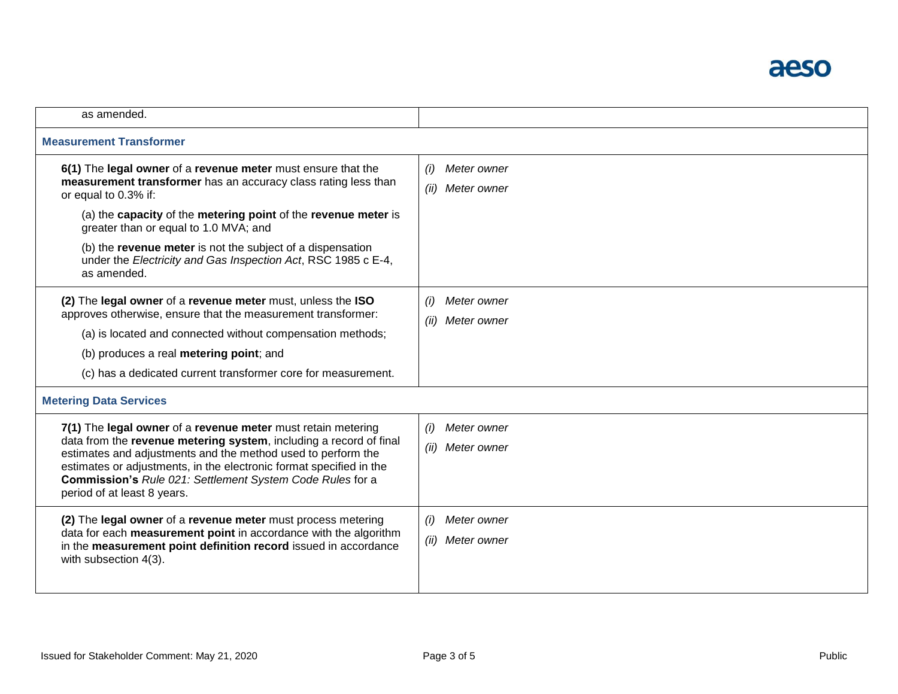

| as amended.                                                                                                                                                                                                                                                                                                                                                                                                     |                                           |  |
|-----------------------------------------------------------------------------------------------------------------------------------------------------------------------------------------------------------------------------------------------------------------------------------------------------------------------------------------------------------------------------------------------------------------|-------------------------------------------|--|
| <b>Measurement Transformer</b>                                                                                                                                                                                                                                                                                                                                                                                  |                                           |  |
| 6(1) The legal owner of a revenue meter must ensure that the<br>measurement transformer has an accuracy class rating less than<br>or equal to 0.3% if:<br>(a) the capacity of the metering point of the revenue meter is<br>greater than or equal to 1.0 MVA; and<br>(b) the revenue meter is not the subject of a dispensation<br>under the Electricity and Gas Inspection Act, RSC 1985 c E-4,<br>as amended. | (i)<br>Meter owner<br>(ii)<br>Meter owner |  |
| (2) The legal owner of a revenue meter must, unless the ISO<br>approves otherwise, ensure that the measurement transformer:<br>(a) is located and connected without compensation methods;<br>(b) produces a real metering point; and<br>(c) has a dedicated current transformer core for measurement.                                                                                                           | Meter owner<br>(i)<br>(ii)<br>Meter owner |  |
| <b>Metering Data Services</b>                                                                                                                                                                                                                                                                                                                                                                                   |                                           |  |
| 7(1) The legal owner of a revenue meter must retain metering<br>data from the revenue metering system, including a record of final<br>estimates and adjustments and the method used to perform the<br>estimates or adjustments, in the electronic format specified in the<br>Commission's Rule 021: Settlement System Code Rules for a<br>period of at least 8 years.                                           | Meter owner<br>(i)<br>(ii)<br>Meter owner |  |
| (2) The legal owner of a revenue meter must process metering<br>data for each measurement point in accordance with the algorithm<br>in the measurement point definition record issued in accordance<br>with subsection 4(3).                                                                                                                                                                                    | (i)<br>Meter owner<br>(ii)<br>Meter owner |  |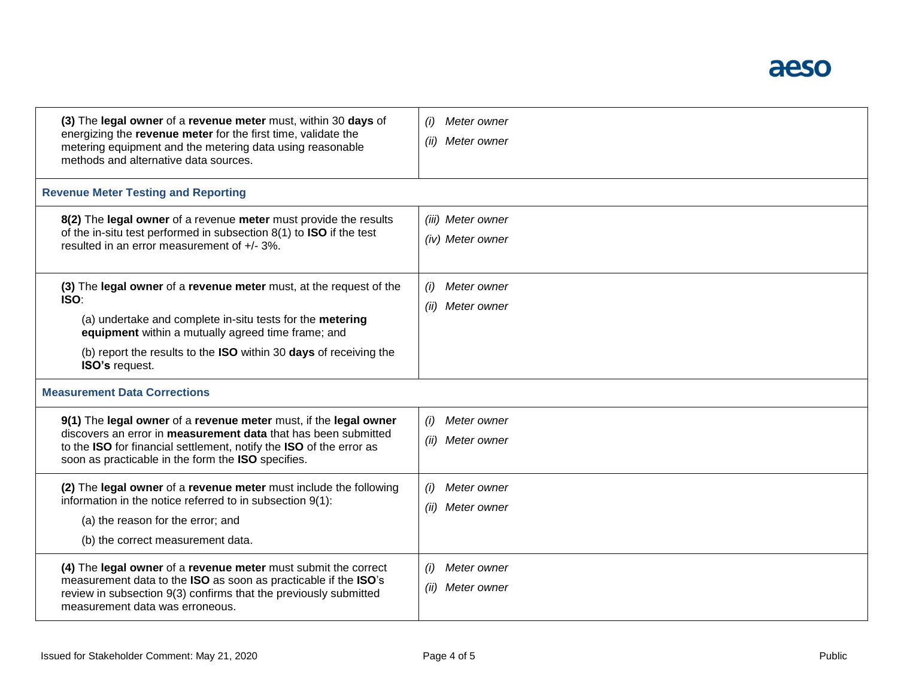

| (3) The legal owner of a revenue meter must, within 30 days of<br>energizing the revenue meter for the first time, validate the<br>metering equipment and the metering data using reasonable<br>methods and alternative data sources.                                                       | Meter owner<br>(ii)<br>Meter owner        |  |
|---------------------------------------------------------------------------------------------------------------------------------------------------------------------------------------------------------------------------------------------------------------------------------------------|-------------------------------------------|--|
| <b>Revenue Meter Testing and Reporting</b>                                                                                                                                                                                                                                                  |                                           |  |
| 8(2) The legal owner of a revenue meter must provide the results<br>of the in-situ test performed in subsection 8(1) to ISO if the test<br>resulted in an error measurement of +/- 3%.                                                                                                      | (iii) Meter owner<br>(iv) Meter owner     |  |
| (3) The legal owner of a revenue meter must, at the request of the<br>ISO:<br>(a) undertake and complete in-situ tests for the metering<br>equipment within a mutually agreed time frame; and<br>(b) report the results to the <b>ISO</b> within 30 days of receiving the<br>ISO's request. | Meter owner<br>(i)<br>(ii)<br>Meter owner |  |
| <b>Measurement Data Corrections</b>                                                                                                                                                                                                                                                         |                                           |  |
| 9(1) The legal owner of a revenue meter must, if the legal owner<br>discovers an error in <b>measurement data</b> that has been submitted<br>to the ISO for financial settlement, notify the ISO of the error as<br>soon as practicable in the form the ISO specifies.                      | Meter owner<br>(i)<br>Meter owner<br>(ii) |  |
| (2) The legal owner of a revenue meter must include the following<br>information in the notice referred to in subsection 9(1):<br>(a) the reason for the error; and<br>(b) the correct measurement data.                                                                                    | Meter owner<br>Meter owner<br>(ii)        |  |
| (4) The legal owner of a revenue meter must submit the correct<br>measurement data to the ISO as soon as practicable if the ISO's<br>review in subsection 9(3) confirms that the previously submitted<br>measurement data was erroneous.                                                    | Meter owner<br>(i)<br>(ii)<br>Meter owner |  |